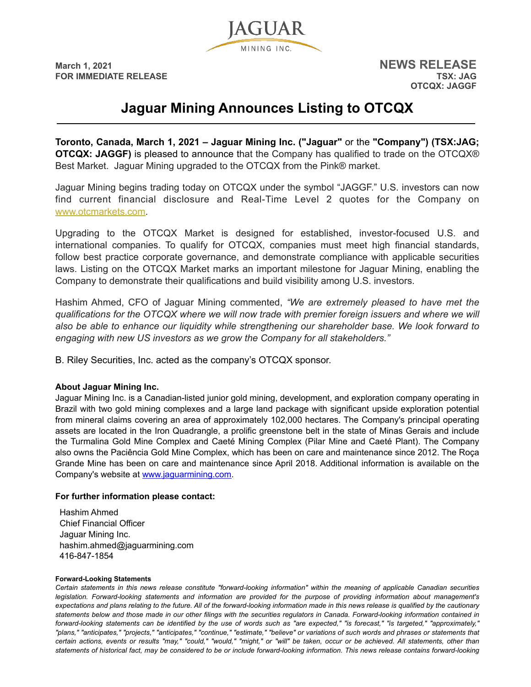

**March 1, 2021** NEWS RELEASE **FOR IMMEDIATE RELEASE TSX: JAG** 

 **OTCQX: JAGGF** 

## **Jaguar Mining Announces Listing to OTCQX**

**Toronto, Canada, March 1, 2021 – Jaguar Mining Inc. ("Jaguar"** or the **"Company") (TSX:JAG; OTCQX: JAGGF)** is pleased to announce that the Company has qualified to trade on the OTCQX® Best Market. Jaguar Mining upgraded to the OTCQX from the Pink® market.

Jaguar Mining begins trading today on OTCQX under the symbol "JAGGF." U.S. investors can now find current financial disclosure and Real-Time Level 2 quotes for the Company on [www.otcmarkets.com.](https://www.otcmarkets.com/?utm_source=Press%2520Release&utm_medium=Press%2520Release&utm_campaign=New%2520OTCQX%2520Company)

Upgrading to the OTCQX Market is designed for established, investor-focused U.S. and international companies. To qualify for OTCQX, companies must meet high financial standards, follow best practice corporate governance, and demonstrate compliance with applicable securities laws. Listing on the OTCQX Market marks an important milestone for Jaguar Mining, enabling the Company to demonstrate their qualifications and build visibility among U.S. investors.

Hashim Ahmed, CFO of Jaguar Mining commented, *"We are extremely pleased to have met the qualifications for the OTCQX where we will now trade with premier foreign issuers and where we will also be able to enhance our liquidity while strengthening our shareholder base. We look forward to engaging with new US investors as we grow the Company for all stakeholders."* 

B. Riley Securities, Inc. acted as the company's OTCQX sponsor.

## **About Jaguar Mining Inc.**

Jaguar Mining Inc. is a Canadian-listed junior gold mining, development, and exploration company operating in Brazil with two gold mining complexes and a large land package with significant upside exploration potential from mineral claims covering an area of approximately 102,000 hectares. The Company's principal operating assets are located in the Iron Quadrangle, a prolific greenstone belt in the state of Minas Gerais and include the Turmalina Gold Mine Complex and Caeté Mining Complex (Pilar Mine and Caeté Plant). The Company also owns the Paciência Gold Mine Complex, which has been on care and maintenance since 2012. The Roça Grande Mine has been on care and maintenance since April 2018. Additional information is available on the Company's website at [www.jaguarmining.com.](https://jaguarmining.com/)

## **For further information please contact:**

Hashim Ahmed Chief Financial Officer Jaguar Mining Inc. hashim.ahmed@jaguarmining.com 416-847-1854

## **Forward-Looking Statements**

*Certain statements in this news release constitute "forward-looking information" within the meaning of applicable Canadian securities legislation. Forward-looking statements and information are provided for the purpose of providing information about management's expectations and plans relating to the future. All of the forward-looking information made in this news release is qualified by the cautionary statements below and those made in our other filings with the securities regulators in Canada. Forward-looking information contained in forward-looking statements can be identified by the use of words such as "are expected," "is forecast," "is targeted," "approximately," "plans," "anticipates," "projects," "anticipates," "continue," "estimate," "believe" or variations of such words and phrases or statements that certain actions, events or results "may," "could," "would," "might," or "will" be taken, occur or be achieved. All statements, other than statements of historical fact, may be considered to be or include forward-looking information. This news release contains forward-looking*